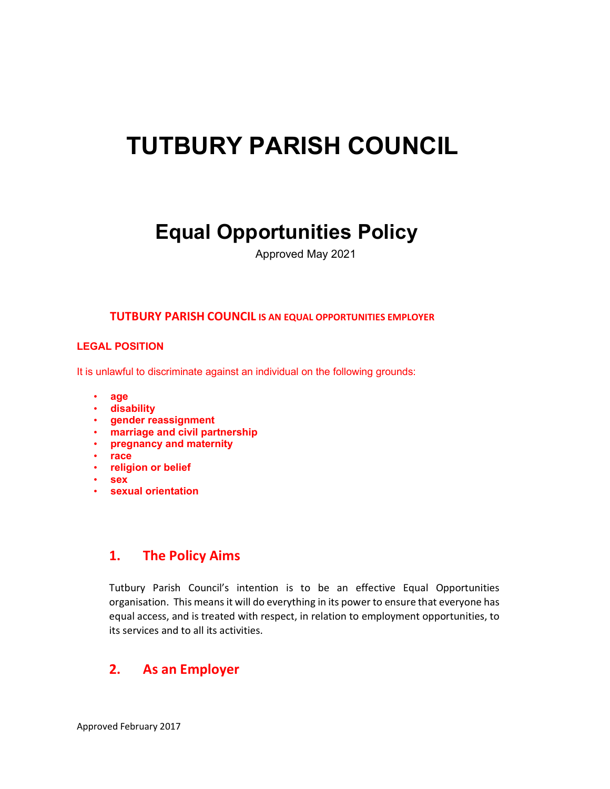# TUTBURY PARISH COUNCIL

# Equal Opportunities Policy

Approved May 2021

#### TUTBURY PARISH COUNCIL IS AN EQUAL OPPORTUNITIES EMPLOYER

#### LEGAL POSITION

It is unlawful to discriminate against an individual on the following grounds:

- age
- disability
- gender reassignment
- marriage and civil partnership
- pregnancy and maternity
- race
- religion or belief
- sex
- sexual orientation

#### 1. The Policy Aims

Tutbury Parish Council's intention is to be an effective Equal Opportunities organisation. This means it will do everything in its power to ensure that everyone has equal access, and is treated with respect, in relation to employment opportunities, to its services and to all its activities.

#### 2. As an Employer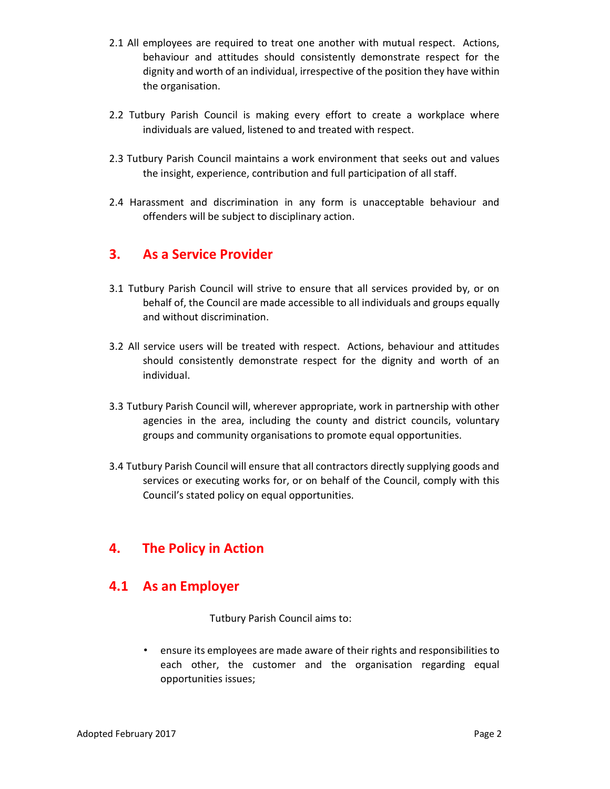- 2.1 All employees are required to treat one another with mutual respect. Actions, behaviour and attitudes should consistently demonstrate respect for the dignity and worth of an individual, irrespective of the position they have within the organisation.
- 2.2 Tutbury Parish Council is making every effort to create a workplace where individuals are valued, listened to and treated with respect.
- 2.3 Tutbury Parish Council maintains a work environment that seeks out and values the insight, experience, contribution and full participation of all staff.
- 2.4 Harassment and discrimination in any form is unacceptable behaviour and offenders will be subject to disciplinary action.

#### 3. As a Service Provider

- 3.1 Tutbury Parish Council will strive to ensure that all services provided by, or on behalf of, the Council are made accessible to all individuals and groups equally and without discrimination.
- 3.2 All service users will be treated with respect. Actions, behaviour and attitudes should consistently demonstrate respect for the dignity and worth of an individual.
- 3.3 Tutbury Parish Council will, wherever appropriate, work in partnership with other agencies in the area, including the county and district councils, voluntary groups and community organisations to promote equal opportunities.
- 3.4 Tutbury Parish Council will ensure that all contractors directly supplying goods and services or executing works for, or on behalf of the Council, comply with this Council's stated policy on equal opportunities.

#### 4. The Policy in Action

#### 4.1 As an Employer

Tutbury Parish Council aims to:

• ensure its employees are made aware of their rights and responsibilities to each other, the customer and the organisation regarding equal opportunities issues;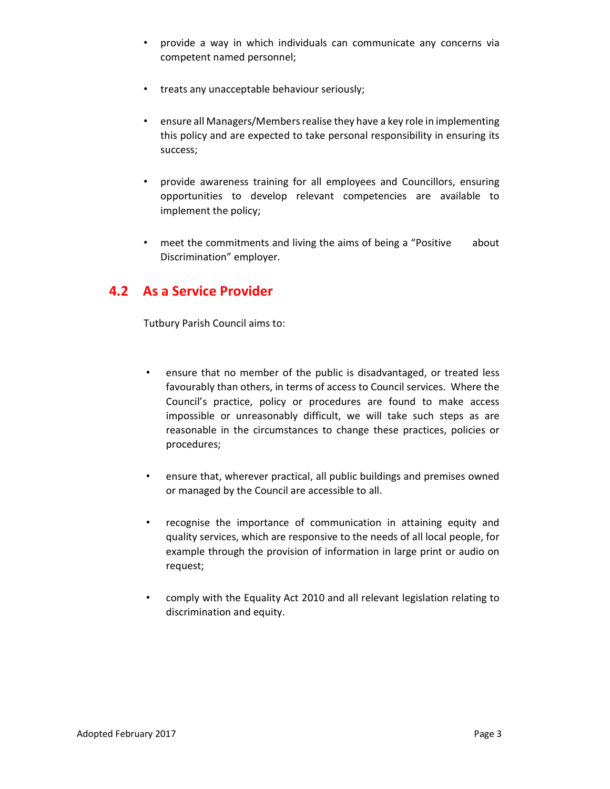- provide a way in which individuals can communicate any concerns via competent named personnel;
- treats any unacceptable behaviour seriously;
- ensure all Managers/Members realise they have a key role in implementing this policy and are expected to take personal responsibility in ensuring its success;
- provide awareness training for all employees and Councillors, ensuring opportunities to develop relevant competencies are available to implement the policy;
- meet the commitments and living the aims of being a "Positive about Discrimination" employer.

#### 4.2 As a Service Provider

Tutbury Parish Council aims to:

- ensure that no member of the public is disadvantaged, or treated less favourably than others, in terms of access to Council services. Where the Council's practice, policy or procedures are found to make access impossible or unreasonably difficult, we will take such steps as are reasonable in the circumstances to change these practices, policies or procedures;
- ensure that, wherever practical, all public buildings and premises owned or managed by the Council are accessible to all.
- recognise the importance of communication in attaining equity and quality services, which are responsive to the needs of all local people, for example through the provision of information in large print or audio on request;
- comply with the Equality Act 2010 and all relevant legislation relating to discrimination and equity.